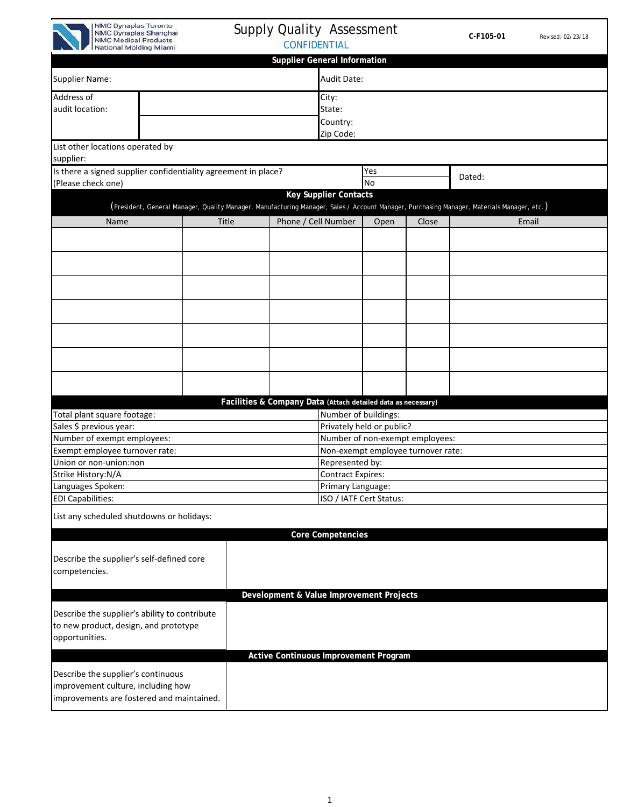

## Supply Quality Assessment CONFIDENTIAL

| <b>Supplier General Information</b>                                             |                                                                                                                                            |                                                               |                                              |                                    |                                 |        |  |  |  |
|---------------------------------------------------------------------------------|--------------------------------------------------------------------------------------------------------------------------------------------|---------------------------------------------------------------|----------------------------------------------|------------------------------------|---------------------------------|--------|--|--|--|
| <b>Supplier Name:</b>                                                           |                                                                                                                                            |                                                               | <b>Audit Date:</b>                           |                                    |                                 |        |  |  |  |
| Address of                                                                      |                                                                                                                                            |                                                               |                                              | City:                              |                                 |        |  |  |  |
| audit location:                                                                 |                                                                                                                                            |                                                               | State:                                       |                                    |                                 |        |  |  |  |
|                                                                                 |                                                                                                                                            |                                                               | Country:                                     |                                    |                                 |        |  |  |  |
|                                                                                 |                                                                                                                                            |                                                               | Zip Code:                                    |                                    |                                 |        |  |  |  |
| List other locations operated by<br>supplier:                                   |                                                                                                                                            |                                                               |                                              |                                    |                                 |        |  |  |  |
|                                                                                 | Is there a signed supplier confidentiality agreement in place?                                                                             |                                                               |                                              | Yes                                |                                 | Dated: |  |  |  |
| (Please check one)                                                              |                                                                                                                                            |                                                               |                                              | No                                 |                                 |        |  |  |  |
|                                                                                 | (President, General Manager, Quality Manager, Manufacturing Manager, Sales / Account Manager, Purchasing Manager, Materials Manager, etc.) |                                                               | <b>Key Supplier Contacts</b>                 |                                    |                                 |        |  |  |  |
| Name                                                                            | Title                                                                                                                                      | Phone / Cell Number                                           |                                              | Open                               | Close                           | Email  |  |  |  |
|                                                                                 |                                                                                                                                            |                                                               |                                              |                                    |                                 |        |  |  |  |
|                                                                                 |                                                                                                                                            |                                                               |                                              |                                    |                                 |        |  |  |  |
|                                                                                 |                                                                                                                                            |                                                               |                                              |                                    |                                 |        |  |  |  |
|                                                                                 |                                                                                                                                            |                                                               |                                              |                                    |                                 |        |  |  |  |
|                                                                                 |                                                                                                                                            |                                                               |                                              |                                    |                                 |        |  |  |  |
|                                                                                 |                                                                                                                                            |                                                               |                                              |                                    |                                 |        |  |  |  |
|                                                                                 |                                                                                                                                            |                                                               |                                              |                                    |                                 |        |  |  |  |
|                                                                                 |                                                                                                                                            |                                                               |                                              |                                    |                                 |        |  |  |  |
|                                                                                 |                                                                                                                                            | Facilities & Company Data (Attach detailed data as necessary) |                                              |                                    |                                 |        |  |  |  |
| Total plant square footage:                                                     |                                                                                                                                            |                                                               | Number of buildings:                         |                                    |                                 |        |  |  |  |
| Sales \$ previous year:                                                         |                                                                                                                                            |                                                               |                                              | Privately held or public?          |                                 |        |  |  |  |
| Number of exempt employees:                                                     |                                                                                                                                            |                                                               |                                              |                                    | Number of non-exempt employees: |        |  |  |  |
| Exempt employee turnover rate:                                                  |                                                                                                                                            |                                                               |                                              | Non-exempt employee turnover rate: |                                 |        |  |  |  |
| Union or non-union:non                                                          |                                                                                                                                            |                                                               | Represented by:                              |                                    |                                 |        |  |  |  |
| Strike History:N/A                                                              |                                                                                                                                            |                                                               | <b>Contract Expires:</b>                     |                                    |                                 |        |  |  |  |
| Languages Spoken:                                                               |                                                                                                                                            |                                                               | Primary Language:<br>ISO / IATF Cert Status: |                                    |                                 |        |  |  |  |
| <b>EDI Capabilities:</b>                                                        |                                                                                                                                            |                                                               |                                              |                                    |                                 |        |  |  |  |
| List any scheduled shutdowns or holidays:                                       |                                                                                                                                            |                                                               |                                              |                                    |                                 |        |  |  |  |
|                                                                                 |                                                                                                                                            |                                                               | <b>Core Competencies</b>                     |                                    |                                 |        |  |  |  |
| Describe the supplier's self-defined core<br>competencies.                      |                                                                                                                                            |                                                               |                                              |                                    |                                 |        |  |  |  |
|                                                                                 |                                                                                                                                            |                                                               |                                              |                                    |                                 |        |  |  |  |
|                                                                                 |                                                                                                                                            | Development & Value Improvement Projects                      |                                              |                                    |                                 |        |  |  |  |
| Describe the supplier's ability to contribute                                   |                                                                                                                                            |                                                               |                                              |                                    |                                 |        |  |  |  |
| to new product, design, and prototype<br>opportunities.                         |                                                                                                                                            |                                                               |                                              |                                    |                                 |        |  |  |  |
|                                                                                 |                                                                                                                                            | Active Continuous Improvement Program                         |                                              |                                    |                                 |        |  |  |  |
| Describe the supplier's continuous                                              |                                                                                                                                            |                                                               |                                              |                                    |                                 |        |  |  |  |
| improvement culture, including how<br>improvements are fostered and maintained. |                                                                                                                                            |                                                               |                                              |                                    |                                 |        |  |  |  |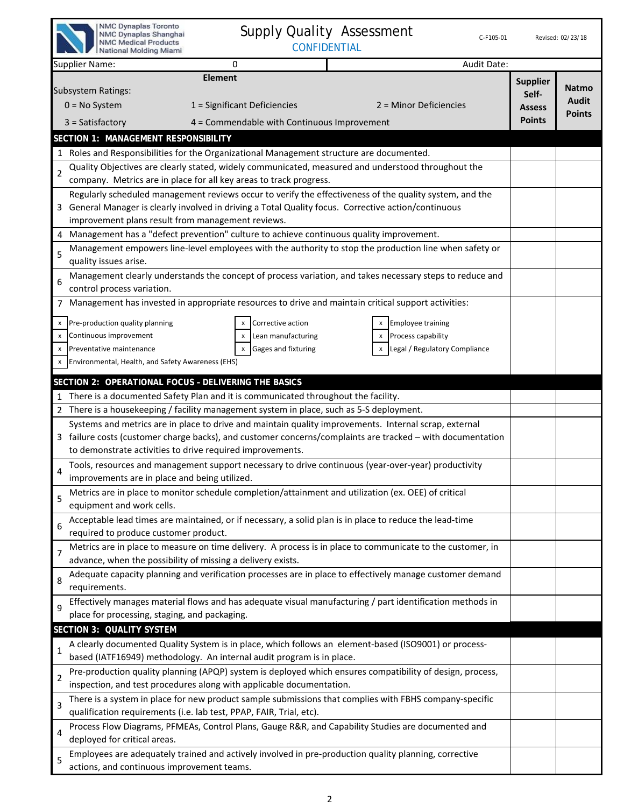| NMC Dynaplas Toronto<br><b>Supply Quality Assessment</b><br>NMC Dynaplas Shanghai<br>C-F105-01<br><b>NMC Medical Products</b><br><b>CONFIDENTIAL</b><br>National Molding Miami                                                                                                                                                   |                                                            | Revised: 02/23/18                      |
|----------------------------------------------------------------------------------------------------------------------------------------------------------------------------------------------------------------------------------------------------------------------------------------------------------------------------------|------------------------------------------------------------|----------------------------------------|
| Audit Date:<br><b>Supplier Name:</b><br>0                                                                                                                                                                                                                                                                                        |                                                            |                                        |
| <b>Element</b><br><b>Subsystem Ratings:</b><br>$0 = No System$<br>1 = Significant Deficiencies<br>2 = Minor Deficiencies<br>$3 = Satisfactory$<br>4 = Commendable with Continuous Improvement                                                                                                                                    | <b>Supplier</b><br>Self-<br><b>Assess</b><br><b>Points</b> | <b>Natmo</b><br>Audit<br><b>Points</b> |
| SECTION 1: MANAGEMENT RESPONSIBILITY                                                                                                                                                                                                                                                                                             |                                                            |                                        |
| 1 Roles and Responsibilities for the Organizational Management structure are documented.                                                                                                                                                                                                                                         |                                                            |                                        |
| Quality Objectives are clearly stated, widely communicated, measured and understood throughout the<br>$\overline{2}$<br>company. Metrics are in place for all key areas to track progress.                                                                                                                                       |                                                            |                                        |
| Regularly scheduled management reviews occur to verify the effectiveness of the quality system, and the<br>General Manager is clearly involved in driving a Total Quality focus. Corrective action/continuous<br>improvement plans result from management reviews.                                                               |                                                            |                                        |
| Management has a "defect prevention" culture to achieve continuous quality improvement.<br>4                                                                                                                                                                                                                                     |                                                            |                                        |
| Management empowers line-level employees with the authority to stop the production line when safety or<br>5<br>quality issues arise.                                                                                                                                                                                             |                                                            |                                        |
| Management clearly understands the concept of process variation, and takes necessary steps to reduce and<br>6<br>control process variation.                                                                                                                                                                                      |                                                            |                                        |
| 7 Management has invested in appropriate resources to drive and maintain critical support activities:                                                                                                                                                                                                                            |                                                            |                                        |
| Pre-production quality planning<br>Corrective action<br><b>Employee training</b><br>X<br>Continuous improvement<br>Lean manufacturing<br>Process capability<br>x<br>Gages and fixturing<br>Legal / Regulatory Compliance<br>Preventative maintenance<br>x<br>Environmental, Health, and Safety Awareness (EHS)<br>$\pmb{\times}$ |                                                            |                                        |
| SECTION 2: OPERATIONAL FOCUS - DELIVERING THE BASICS                                                                                                                                                                                                                                                                             |                                                            |                                        |
| There is a documented Safety Plan and it is communicated throughout the facility.                                                                                                                                                                                                                                                |                                                            |                                        |
| 2 There is a housekeeping / facility management system in place, such as 5-S deployment.                                                                                                                                                                                                                                         |                                                            |                                        |
| Systems and metrics are in place to drive and maintain quality improvements. Internal scrap, external<br>3 failure costs (customer charge backs), and customer concerns/complaints are tracked – with documentation<br>to demonstrate activities to drive required improvements.                                                 |                                                            |                                        |
| Tools, resources and management support necessary to drive continuous (year-over-year) productivity<br>$\overline{4}$<br>improvements are in place and being utilized.                                                                                                                                                           |                                                            |                                        |
| Metrics are in place to monitor schedule completion/attainment and utilization (ex. OEE) of critical<br>5<br>equipment and work cells.                                                                                                                                                                                           |                                                            |                                        |
| Acceptable lead times are maintained, or if necessary, a solid plan is in place to reduce the lead-time<br>6<br>required to produce customer product.                                                                                                                                                                            |                                                            |                                        |
| Metrics are in place to measure on time delivery. A process is in place to communicate to the customer, in<br>$\overline{7}$<br>advance, when the possibility of missing a delivery exists.                                                                                                                                      |                                                            |                                        |
| Adequate capacity planning and verification processes are in place to effectively manage customer demand<br>8<br>requirements.                                                                                                                                                                                                   |                                                            |                                        |
| Effectively manages material flows and has adequate visual manufacturing / part identification methods in<br>9<br>place for processing, staging, and packaging.                                                                                                                                                                  |                                                            |                                        |
| SECTION 3: QUALITY SYSTEM                                                                                                                                                                                                                                                                                                        |                                                            |                                        |
| A clearly documented Quality System is in place, which follows an element-based (ISO9001) or process-<br>$\mathbf{1}$<br>based (IATF16949) methodology. An internal audit program is in place.                                                                                                                                   |                                                            |                                        |
| Pre-production quality planning (APQP) system is deployed which ensures compatibility of design, process,<br>$\overline{2}$<br>inspection, and test procedures along with applicable documentation.                                                                                                                              |                                                            |                                        |
| There is a system in place for new product sample submissions that complies with FBHS company-specific<br>3<br>qualification requirements (i.e. lab test, PPAP, FAIR, Trial, etc).                                                                                                                                               |                                                            |                                        |
| Process Flow Diagrams, PFMEAs, Control Plans, Gauge R&R, and Capability Studies are documented and<br>$\overline{4}$<br>deployed for critical areas.                                                                                                                                                                             |                                                            |                                        |
| Employees are adequately trained and actively involved in pre-production quality planning, corrective<br>5<br>actions, and continuous improvement teams.                                                                                                                                                                         |                                                            |                                        |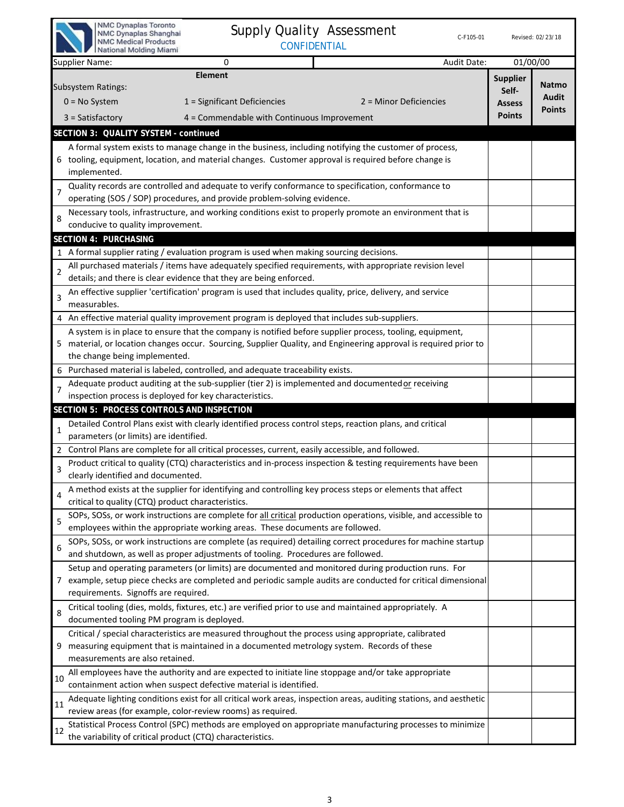|                | NMC Dynaplas Toronto<br><b>Supply Quality Assessment</b><br>NMC Dynaplas Shanghai<br>C-F105-01<br><b>NMC Medical Products</b><br><b>CONFIDENTIAL</b><br>National Molding Miami                                                                                                                                                      |                                                            | Revised: 02/23/18               |
|----------------|-------------------------------------------------------------------------------------------------------------------------------------------------------------------------------------------------------------------------------------------------------------------------------------------------------------------------------------|------------------------------------------------------------|---------------------------------|
|                | Audit Date:<br><b>Supplier Name:</b><br>0                                                                                                                                                                                                                                                                                           | 01/00/00                                                   |                                 |
|                | <b>Element</b><br>Subsystem Ratings:<br>$0 = No System$<br>1 = Significant Deficiencies<br>2 = Minor Deficiencies<br>$3 = Satisfactory$<br>4 = Commendable with Continuous Improvement                                                                                                                                              | <b>Supplier</b><br>Self-<br><b>Assess</b><br><b>Points</b> | Natmo<br>Audit<br><b>Points</b> |
|                | SECTION 3: QUALITY SYSTEM - continued                                                                                                                                                                                                                                                                                               |                                                            |                                 |
|                | A formal system exists to manage change in the business, including notifying the customer of process,<br>6 tooling, equipment, location, and material changes. Customer approval is required before change is<br>implemented.<br>Quality records are controlled and adequate to verify conformance to specification, conformance to |                                                            |                                 |
| $\overline{7}$ | operating (SOS / SOP) procedures, and provide problem-solving evidence.                                                                                                                                                                                                                                                             |                                                            |                                 |
| 8              | Necessary tools, infrastructure, and working conditions exist to properly promote an environment that is<br>conducive to quality improvement.<br>SECTION 4: PURCHASING                                                                                                                                                              |                                                            |                                 |
|                | 1 A formal supplier rating / evaluation program is used when making sourcing decisions.                                                                                                                                                                                                                                             |                                                            |                                 |
|                | All purchased materials / items have adequately specified requirements, with appropriate revision level                                                                                                                                                                                                                             |                                                            |                                 |
| $\overline{2}$ | details; and there is clear evidence that they are being enforced.                                                                                                                                                                                                                                                                  |                                                            |                                 |
| $\overline{3}$ | An effective supplier 'certification' program is used that includes quality, price, delivery, and service<br>measurables.                                                                                                                                                                                                           |                                                            |                                 |
|                | 4 An effective material quality improvement program is deployed that includes sub-suppliers.                                                                                                                                                                                                                                        |                                                            |                                 |
|                | A system is in place to ensure that the company is notified before supplier process, tooling, equipment,<br>5 material, or location changes occur. Sourcing, Supplier Quality, and Engineering approval is required prior to<br>the change being implemented.                                                                       |                                                            |                                 |
| 6              | Purchased material is labeled, controlled, and adequate traceability exists.                                                                                                                                                                                                                                                        |                                                            |                                 |
| $\overline{7}$ | Adequate product auditing at the sub-supplier (tier 2) is implemented and documented or receiving                                                                                                                                                                                                                                   |                                                            |                                 |
|                | inspection process is deployed for key characteristics.                                                                                                                                                                                                                                                                             |                                                            |                                 |
|                | SECTION 5: PROCESS CONTROLS AND INSPECTION                                                                                                                                                                                                                                                                                          |                                                            |                                 |
| $\mathbf{1}$   | Detailed Control Plans exist with clearly identified process control steps, reaction plans, and critical<br>parameters (or limits) are identified.                                                                                                                                                                                  |                                                            |                                 |
| 2              | Control Plans are complete for all critical processes, current, easily accessible, and followed.                                                                                                                                                                                                                                    |                                                            |                                 |
| 3              | Product critical to quality (CTQ) characteristics and in-process inspection & testing requirements have been<br>clearly identified and documented.                                                                                                                                                                                  |                                                            |                                 |
| 4              | A method exists at the supplier for identifying and controlling key process steps or elements that affect<br>critical to quality (CTQ) product characteristics.                                                                                                                                                                     |                                                            |                                 |
| 5              | SOPs, SOSs, or work instructions are complete for all critical production operations, visible, and accessible to<br>employees within the appropriate working areas. These documents are followed.                                                                                                                                   |                                                            |                                 |
| 6              | SOPs, SOSs, or work instructions are complete (as required) detailing correct procedures for machine startup<br>and shutdown, as well as proper adjustments of tooling. Procedures are followed.                                                                                                                                    |                                                            |                                 |
|                | Setup and operating parameters (or limits) are documented and monitored during production runs. For<br>7 example, setup piece checks are completed and periodic sample audits are conducted for critical dimensional<br>requirements. Signoffs are required.                                                                        |                                                            |                                 |
| 8              | Critical tooling (dies, molds, fixtures, etc.) are verified prior to use and maintained appropriately. A<br>documented tooling PM program is deployed.                                                                                                                                                                              |                                                            |                                 |
| 9              | Critical / special characteristics are measured throughout the process using appropriate, calibrated<br>measuring equipment that is maintained in a documented metrology system. Records of these<br>measurements are also retained.                                                                                                |                                                            |                                 |
| 10             | All employees have the authority and are expected to initiate line stoppage and/or take appropriate<br>containment action when suspect defective material is identified.                                                                                                                                                            |                                                            |                                 |
| 11             | Adequate lighting conditions exist for all critical work areas, inspection areas, auditing stations, and aesthetic<br>review areas (for example, color-review rooms) as required.                                                                                                                                                   |                                                            |                                 |
| 12             | Statistical Process Control (SPC) methods are employed on appropriate manufacturing processes to minimize<br>the variability of critical product (CTQ) characteristics.                                                                                                                                                             |                                                            |                                 |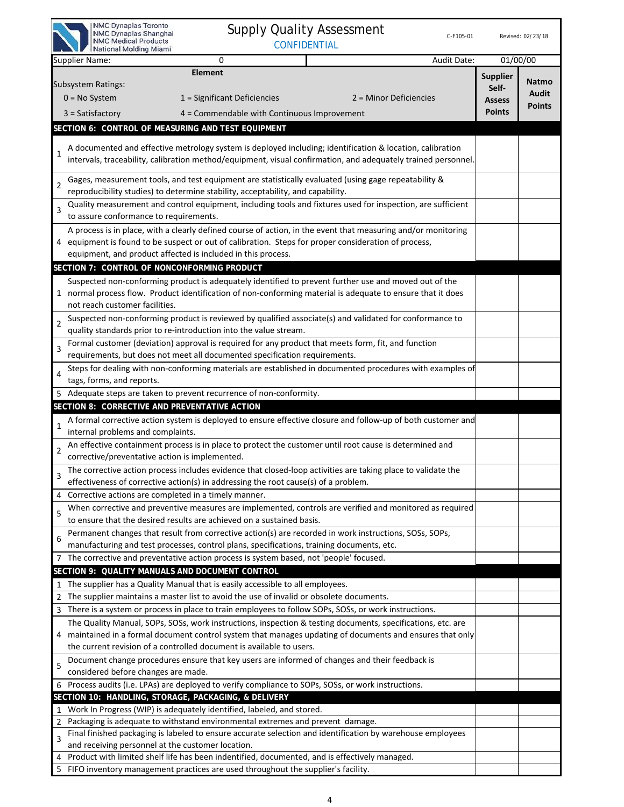| NMC Dynaplas Toronto<br>NMC Dynaplas Shanghai<br><b>NMC Medical Products</b><br>National Molding Miami |                                                                                                      | <b>Supply Quality Assessment</b><br><b>CONFIDENTIAL</b>                                                                                                                                                                    | C-F105-01   |                                                            | Revised: 02/23/18                      |
|--------------------------------------------------------------------------------------------------------|------------------------------------------------------------------------------------------------------|----------------------------------------------------------------------------------------------------------------------------------------------------------------------------------------------------------------------------|-------------|------------------------------------------------------------|----------------------------------------|
| Supplier Name:                                                                                         | 0                                                                                                    |                                                                                                                                                                                                                            | Audit Date: | 01/00/00                                                   |                                        |
| <b>Subsystem Ratings:</b><br>$0 = No$ System<br>$3 = Satisfactory$                                     | <b>Element</b><br>1 = Significant Deficiencies<br>4 = Commendable with Continuous Improvement        | 2 = Minor Deficiencies                                                                                                                                                                                                     |             | <b>Supplier</b><br>Self-<br><b>Assess</b><br><b>Points</b> | <b>Natmo</b><br>Audit<br><b>Points</b> |
| SECTION 6: CONTROL OF MEASURING AND TEST EQUIPMENT                                                     |                                                                                                      |                                                                                                                                                                                                                            |             |                                                            |                                        |
| 1                                                                                                      |                                                                                                      | A documented and effective metrology system is deployed including; identification & location, calibration<br>intervals, traceability, calibration method/equipment, visual confirmation, and adequately trained personnel. |             |                                                            |                                        |
| $\overline{2}$                                                                                         | reproducibility studies) to determine stability, acceptability, and capability.                      | Gages, measurement tools, and test equipment are statistically evaluated (using gage repeatability &                                                                                                                       |             |                                                            |                                        |
| 3<br>to assure conformance to requirements.                                                            |                                                                                                      | Quality measurement and control equipment, including tools and fixtures used for inspection, are sufficient                                                                                                                |             |                                                            |                                        |
| equipment, and product affected is included in this process.                                           | 4 equipment is found to be suspect or out of calibration. Steps for proper consideration of process, | A process is in place, with a clearly defined course of action, in the event that measuring and/or monitoring                                                                                                              |             |                                                            |                                        |
| SECTION 7: CONTROL OF NONCONFORMING PRODUCT                                                            |                                                                                                      |                                                                                                                                                                                                                            |             |                                                            |                                        |
| not reach customer facilities.                                                                         |                                                                                                      | Suspected non-conforming product is adequately identified to prevent further use and moved out of the<br>1 normal process flow. Product identification of non-conforming material is adequate to ensure that it does       |             |                                                            |                                        |
| $\overline{2}$                                                                                         | quality standards prior to re-introduction into the value stream.                                    | Suspected non-conforming product is reviewed by qualified associate(s) and validated for conformance to                                                                                                                    |             |                                                            |                                        |
| $\overline{3}$                                                                                         | requirements, but does not meet all documented specification requirements.                           | Formal customer (deviation) approval is required for any product that meets form, fit, and function                                                                                                                        |             |                                                            |                                        |
| 4<br>tags, forms, and reports.                                                                         |                                                                                                      | Steps for dealing with non-conforming materials are established in documented procedures with examples of                                                                                                                  |             |                                                            |                                        |
|                                                                                                        | 5 Adequate steps are taken to prevent recurrence of non-conformity.                                  |                                                                                                                                                                                                                            |             |                                                            |                                        |
| SECTION 8: CORRECTIVE AND PREVENTATIVE ACTION                                                          |                                                                                                      |                                                                                                                                                                                                                            |             |                                                            |                                        |
| $\mathbf{1}$<br>internal problems and complaints.                                                      |                                                                                                      | A formal corrective action system is deployed to ensure effective closure and follow-up of both customer and                                                                                                               |             |                                                            |                                        |
| $\overline{2}$<br>corrective/preventative action is implemented.                                       |                                                                                                      | An effective containment process is in place to protect the customer until root cause is determined and                                                                                                                    |             |                                                            |                                        |
|                                                                                                        | effectiveness of corrective action(s) in addressing the root cause(s) of a problem.                  | The corrective action process includes evidence that closed-loop activities are taking place to validate the                                                                                                               |             |                                                            |                                        |
| Corrective actions are completed in a timely manner.                                                   |                                                                                                      |                                                                                                                                                                                                                            |             |                                                            |                                        |
| 5                                                                                                      | to ensure that the desired results are achieved on a sustained basis.                                | When corrective and preventive measures are implemented, controls are verified and monitored as required                                                                                                                   |             |                                                            |                                        |
| 6                                                                                                      | manufacturing and test processes, control plans, specifications, training documents, etc.            | Permanent changes that result from corrective action(s) are recorded in work instructions, SOSs, SOPs,                                                                                                                     |             |                                                            |                                        |
| 7                                                                                                      | The corrective and preventative action process is system based, not 'people' focused.                |                                                                                                                                                                                                                            |             |                                                            |                                        |
| SECTION 9: QUALITY MANUALS AND DOCUMENT CONTROL                                                        |                                                                                                      |                                                                                                                                                                                                                            |             |                                                            |                                        |
|                                                                                                        | The supplier has a Quality Manual that is easily accessible to all employees.                        |                                                                                                                                                                                                                            |             |                                                            |                                        |
|                                                                                                        | The supplier maintains a master list to avoid the use of invalid or obsolete documents.              |                                                                                                                                                                                                                            |             |                                                            |                                        |
| 3                                                                                                      |                                                                                                      | There is a system or process in place to train employees to follow SOPs, SOSs, or work instructions.                                                                                                                       |             |                                                            |                                        |
|                                                                                                        |                                                                                                      | The Quality Manual, SOPs, SOSs, work instructions, inspection & testing documents, specifications, etc. are<br>maintained in a formal document control system that manages updating of documents and ensures that only     |             |                                                            |                                        |
|                                                                                                        | the current revision of a controlled document is available to users.                                 | Document change procedures ensure that key users are informed of changes and their feedback is                                                                                                                             |             |                                                            |                                        |
| 5<br>considered before changes are made.                                                               | Process audits (i.e. LPAs) are deployed to verify compliance to SOPs, SOSs, or work instructions.    |                                                                                                                                                                                                                            |             |                                                            |                                        |
| SECTION 10: HANDLING, STORAGE, PACKAGING, & DELIVERY                                                   |                                                                                                      |                                                                                                                                                                                                                            |             |                                                            |                                        |
| 1                                                                                                      | Work In Progress (WIP) is adequately identified, labeled, and stored.                                |                                                                                                                                                                                                                            |             |                                                            |                                        |
| 2                                                                                                      | Packaging is adequate to withstand environmental extremes and prevent damage.                        |                                                                                                                                                                                                                            |             |                                                            |                                        |
| 3<br>and receiving personnel at the customer location.                                                 |                                                                                                      | Final finished packaging is labeled to ensure accurate selection and identification by warehouse employees                                                                                                                 |             |                                                            |                                        |
|                                                                                                        | Product with limited shelf life has been indentified, documented, and is effectively managed.        |                                                                                                                                                                                                                            |             |                                                            |                                        |
|                                                                                                        | FIFO inventory management practices are used throughout the supplier's facility.                     |                                                                                                                                                                                                                            |             |                                                            |                                        |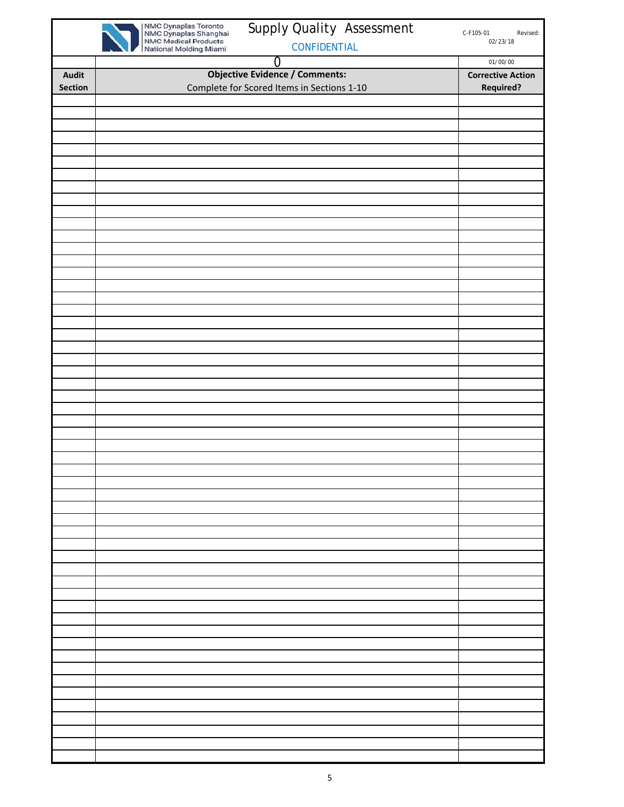|                | Supply Quality Assessment                                                                                              | C-F105-01<br>Revised:    |
|----------------|------------------------------------------------------------------------------------------------------------------------|--------------------------|
|                | NMC Dynaplas Toronto<br>NMC Dynaplas Shanghai<br>NMC Medical Products<br>National Molding Miami<br><b>CONFIDENTIAL</b> | 02/23/18                 |
|                | $\overline{0}$                                                                                                         | 01/00/00                 |
| <b>Audit</b>   | <b>Objective Evidence / Comments:</b>                                                                                  | <b>Corrective Action</b> |
| <b>Section</b> | Complete for Scored Items in Sections 1-10                                                                             | <b>Required?</b>         |
|                |                                                                                                                        |                          |
|                |                                                                                                                        |                          |
|                |                                                                                                                        |                          |
|                |                                                                                                                        |                          |
|                |                                                                                                                        |                          |
|                |                                                                                                                        |                          |
|                |                                                                                                                        |                          |
|                |                                                                                                                        |                          |
|                |                                                                                                                        |                          |
|                |                                                                                                                        |                          |
|                |                                                                                                                        |                          |
|                |                                                                                                                        |                          |
|                |                                                                                                                        |                          |
|                |                                                                                                                        |                          |
|                |                                                                                                                        |                          |
|                |                                                                                                                        |                          |
|                |                                                                                                                        |                          |
|                |                                                                                                                        |                          |
|                |                                                                                                                        |                          |
|                |                                                                                                                        |                          |
|                |                                                                                                                        |                          |
|                |                                                                                                                        |                          |
|                |                                                                                                                        |                          |
|                |                                                                                                                        |                          |
|                |                                                                                                                        |                          |
|                |                                                                                                                        |                          |
|                |                                                                                                                        |                          |
|                |                                                                                                                        |                          |
|                |                                                                                                                        |                          |
|                |                                                                                                                        |                          |
|                |                                                                                                                        |                          |
|                |                                                                                                                        |                          |
|                |                                                                                                                        |                          |
|                |                                                                                                                        |                          |
|                |                                                                                                                        |                          |
|                |                                                                                                                        |                          |
|                |                                                                                                                        |                          |
|                |                                                                                                                        |                          |
|                |                                                                                                                        |                          |
|                |                                                                                                                        |                          |
|                |                                                                                                                        |                          |
|                |                                                                                                                        |                          |
|                |                                                                                                                        |                          |
|                |                                                                                                                        |                          |
|                |                                                                                                                        |                          |
|                |                                                                                                                        |                          |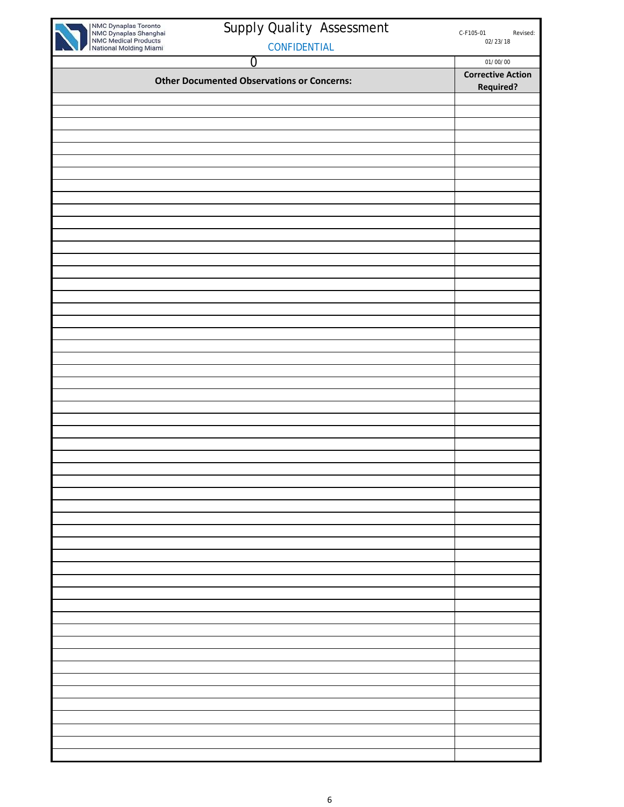| NMC Dynaplas Toronto<br>NMC Dynaplas Shanghai<br>NMC Medical Products<br>National Molding Miami | Supply Quality Assessment                         | C-F105-01<br>Revised:<br>02/23/18 |
|-------------------------------------------------------------------------------------------------|---------------------------------------------------|-----------------------------------|
|                                                                                                 | CONFIDENTIAL                                      |                                   |
|                                                                                                 | $\overline{0}$                                    | 01/00/00                          |
|                                                                                                 | <b>Other Documented Observations or Concerns:</b> | <b>Corrective Action</b>          |
|                                                                                                 |                                                   | <b>Required?</b>                  |
|                                                                                                 |                                                   |                                   |
|                                                                                                 |                                                   |                                   |
|                                                                                                 |                                                   |                                   |
|                                                                                                 |                                                   |                                   |
|                                                                                                 |                                                   |                                   |
|                                                                                                 |                                                   |                                   |
|                                                                                                 |                                                   |                                   |
|                                                                                                 |                                                   |                                   |
|                                                                                                 |                                                   |                                   |
|                                                                                                 |                                                   |                                   |
|                                                                                                 |                                                   |                                   |
|                                                                                                 |                                                   |                                   |
|                                                                                                 |                                                   |                                   |
|                                                                                                 |                                                   |                                   |
|                                                                                                 |                                                   |                                   |
|                                                                                                 |                                                   |                                   |
|                                                                                                 |                                                   |                                   |
|                                                                                                 |                                                   |                                   |
|                                                                                                 |                                                   |                                   |
|                                                                                                 |                                                   |                                   |
|                                                                                                 |                                                   |                                   |
|                                                                                                 |                                                   |                                   |
|                                                                                                 |                                                   |                                   |
|                                                                                                 |                                                   |                                   |
|                                                                                                 |                                                   |                                   |
|                                                                                                 |                                                   |                                   |
|                                                                                                 |                                                   |                                   |
|                                                                                                 |                                                   |                                   |
|                                                                                                 |                                                   |                                   |
|                                                                                                 |                                                   |                                   |
|                                                                                                 |                                                   |                                   |
|                                                                                                 |                                                   |                                   |
|                                                                                                 |                                                   |                                   |
|                                                                                                 |                                                   |                                   |
|                                                                                                 |                                                   |                                   |
|                                                                                                 |                                                   |                                   |
|                                                                                                 |                                                   |                                   |
|                                                                                                 |                                                   |                                   |
|                                                                                                 |                                                   |                                   |
|                                                                                                 |                                                   |                                   |
|                                                                                                 |                                                   |                                   |
|                                                                                                 |                                                   |                                   |
|                                                                                                 |                                                   |                                   |
|                                                                                                 |                                                   |                                   |
|                                                                                                 |                                                   |                                   |
|                                                                                                 |                                                   |                                   |
|                                                                                                 |                                                   |                                   |
|                                                                                                 |                                                   |                                   |
|                                                                                                 |                                                   |                                   |
|                                                                                                 |                                                   |                                   |
|                                                                                                 |                                                   |                                   |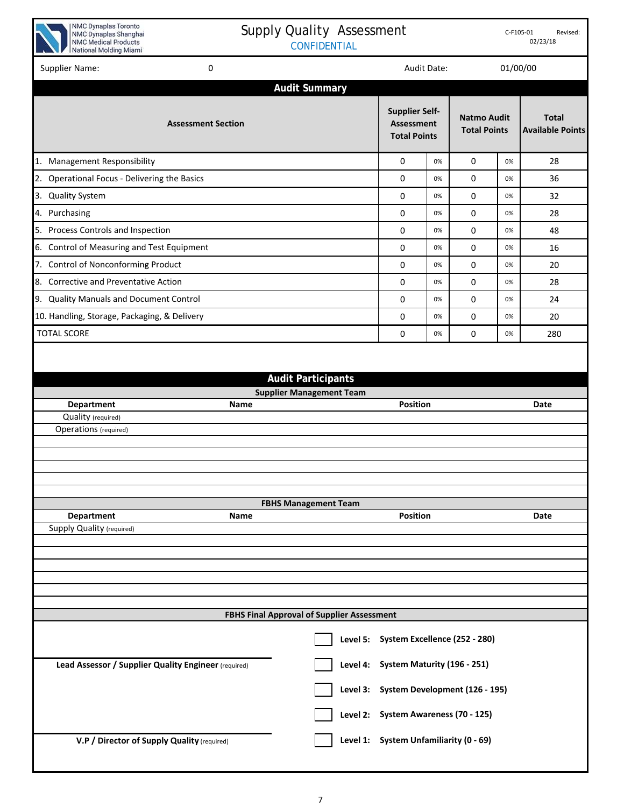

## Supply Quality Assessment CONFIDENTIAL

| Supplier Name:                                            | 0                         |                                            |                                                            | Audit Date: |                                           | 01/00/00 |                                         |
|-----------------------------------------------------------|---------------------------|--------------------------------------------|------------------------------------------------------------|-------------|-------------------------------------------|----------|-----------------------------------------|
|                                                           |                           | <b>Audit Summary</b>                       |                                                            |             |                                           |          |                                         |
|                                                           | <b>Assessment Section</b> |                                            | <b>Supplier Self-</b><br>Assessment<br><b>Total Points</b> |             | <b>Natmo Audit</b><br><b>Total Points</b> |          | <b>Total</b><br><b>Available Points</b> |
| 1. Management Responsibility                              |                           |                                            | 0                                                          | 0%          | 0                                         | 0%       | 28                                      |
| 2. Operational Focus - Delivering the Basics              |                           |                                            | 0                                                          | 0%          | 0                                         | 0%       | 36                                      |
| 3. Quality System                                         |                           |                                            | 0                                                          | 0%          | 0                                         | 0%       | 32                                      |
| 4. Purchasing                                             |                           |                                            | 0                                                          | 0%          | 0                                         | 0%       | 28                                      |
| 5. Process Controls and Inspection                        |                           |                                            | 0                                                          | 0%          | 0                                         | 0%       | 48                                      |
| 6. Control of Measuring and Test Equipment                |                           |                                            | 0                                                          | 0%          | 0                                         | 0%       | 16                                      |
| 7. Control of Nonconforming Product                       |                           |                                            | 0                                                          | 0%          | 0                                         | 0%       | 20                                      |
| 8. Corrective and Preventative Action                     |                           |                                            | 0                                                          | 0%          | 0                                         | 0%       | 28                                      |
| 9. Quality Manuals and Document Control                   |                           |                                            | 0                                                          | 0%          | 0                                         | 0%       | 24                                      |
| 10. Handling, Storage, Packaging, & Delivery              |                           |                                            | 0                                                          | 0%          | 0                                         | 0%       | 20                                      |
| <b>TOTAL SCORE</b>                                        |                           |                                            | 0                                                          | 0%          | 0                                         | 0%       | 280                                     |
| Department<br>Quality (required)<br>Operations (required) | Name                      |                                            | <b>Position</b>                                            |             |                                           |          | Date                                    |
|                                                           |                           |                                            |                                                            |             |                                           |          |                                         |
|                                                           |                           |                                            |                                                            |             |                                           |          |                                         |
| <b>Department</b>                                         | Name                      | <b>FBHS Management Team</b>                | Position                                                   |             |                                           |          | Date                                    |
| <b>Supply Quality (required)</b>                          |                           |                                            |                                                            |             |                                           |          |                                         |
|                                                           |                           |                                            |                                                            |             |                                           |          |                                         |
|                                                           |                           |                                            |                                                            |             |                                           |          |                                         |
|                                                           |                           |                                            |                                                            |             |                                           |          |                                         |
|                                                           |                           |                                            |                                                            |             |                                           |          |                                         |
|                                                           |                           | FBHS Final Approval of Supplier Assessment |                                                            |             |                                           |          |                                         |
|                                                           |                           |                                            | Level 5: System Excellence (252 - 280)                     |             |                                           |          |                                         |
| Lead Assessor / Supplier Quality Engineer (required)      |                           | Level 4:                                   | System Maturity (196 - 251)                                |             |                                           |          |                                         |
|                                                           |                           | Level 3:                                   | System Development (126 - 195)                             |             |                                           |          |                                         |
|                                                           |                           |                                            | Level 2: System Awareness (70 - 125)                       |             |                                           |          |                                         |
| V.P / Director of Supply Quality (required)               |                           |                                            | Level 1: System Unfamiliarity (0 - 69)                     |             |                                           |          |                                         |